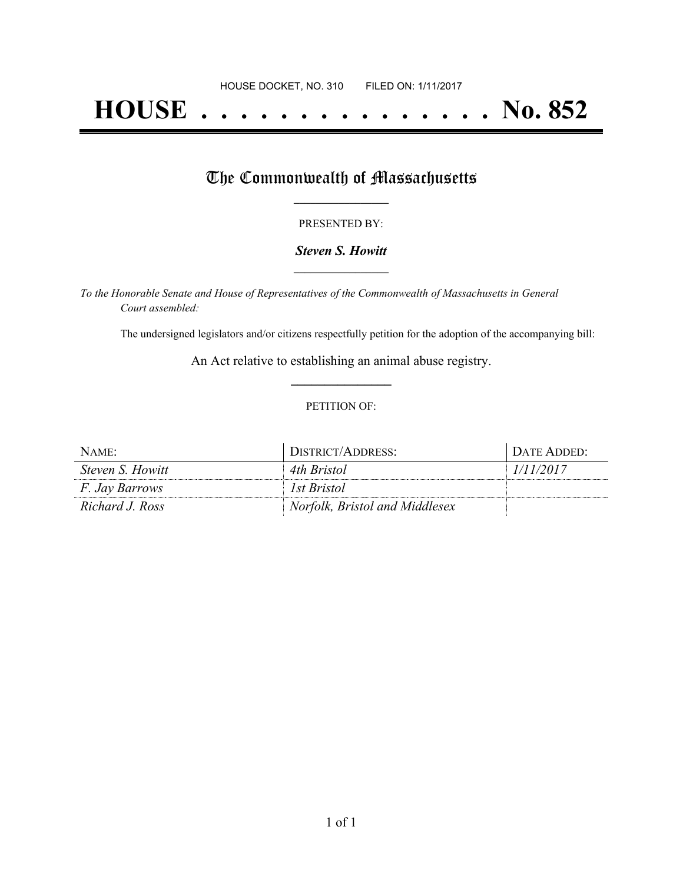# **HOUSE . . . . . . . . . . . . . . . No. 852**

## The Commonwealth of Massachusetts

### PRESENTED BY:

### *Steven S. Howitt* **\_\_\_\_\_\_\_\_\_\_\_\_\_\_\_\_\_**

*To the Honorable Senate and House of Representatives of the Commonwealth of Massachusetts in General Court assembled:*

The undersigned legislators and/or citizens respectfully petition for the adoption of the accompanying bill:

An Act relative to establishing an animal abuse registry. **\_\_\_\_\_\_\_\_\_\_\_\_\_\_\_**

### PETITION OF:

| NAME:                 | DISTRICT/ADDRESS:              | DATE ADDED: |
|-----------------------|--------------------------------|-------------|
| Steven S. Howitt      | 4th Bristol                    | 1/11/2017   |
| <i>F. Jay Barrows</i> | 1st Bristol                    |             |
| Richard J. Ross       | Norfolk, Bristol and Middlesex |             |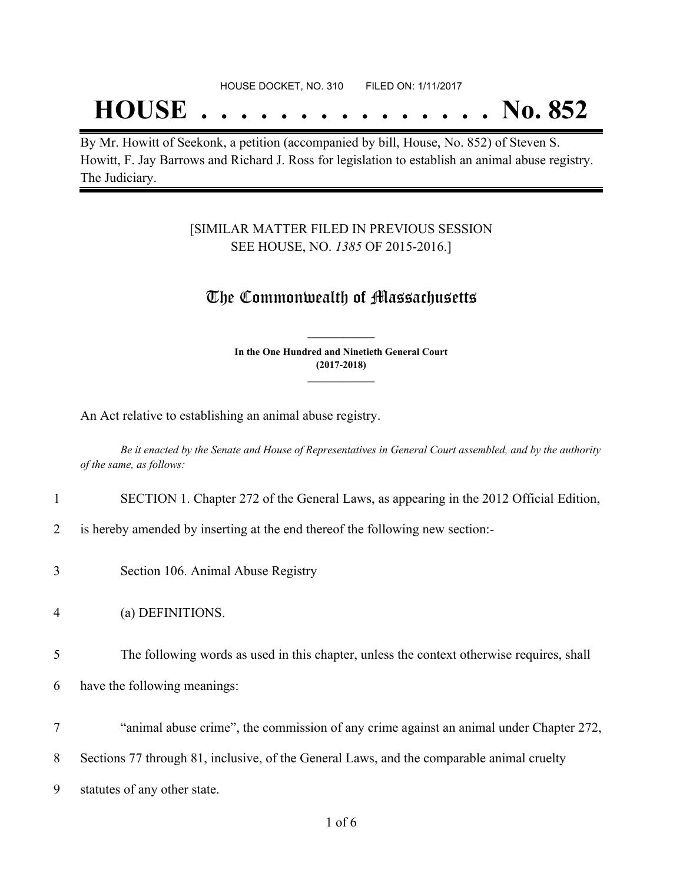#### HOUSE DOCKET, NO. 310 FILED ON: 1/11/2017

# **HOUSE . . . . . . . . . . . . . . . No. 852**

By Mr. Howitt of Seekonk, a petition (accompanied by bill, House, No. 852) of Steven S. Howitt, F. Jay Barrows and Richard J. Ross for legislation to establish an animal abuse registry. The Judiciary.

### [SIMILAR MATTER FILED IN PREVIOUS SESSION SEE HOUSE, NO. *1385* OF 2015-2016.]

### The Commonwealth of Massachusetts

**In the One Hundred and Ninetieth General Court (2017-2018) \_\_\_\_\_\_\_\_\_\_\_\_\_\_\_**

**\_\_\_\_\_\_\_\_\_\_\_\_\_\_\_**

An Act relative to establishing an animal abuse registry.

Be it enacted by the Senate and House of Representatives in General Court assembled, and by the authority *of the same, as follows:*

### 1 SECTION 1. Chapter 272 of the General Laws, as appearing in the 2012 Official Edition,

2 is hereby amended by inserting at the end thereof the following new section:-

3 Section 106. Animal Abuse Registry

4 (a) DEFINITIONS.

5 The following words as used in this chapter, unless the context otherwise requires, shall

6 have the following meanings:

7 "animal abuse crime", the commission of any crime against an animal under Chapter 272,

8 Sections 77 through 81, inclusive, of the General Laws, and the comparable animal cruelty

9 statutes of any other state.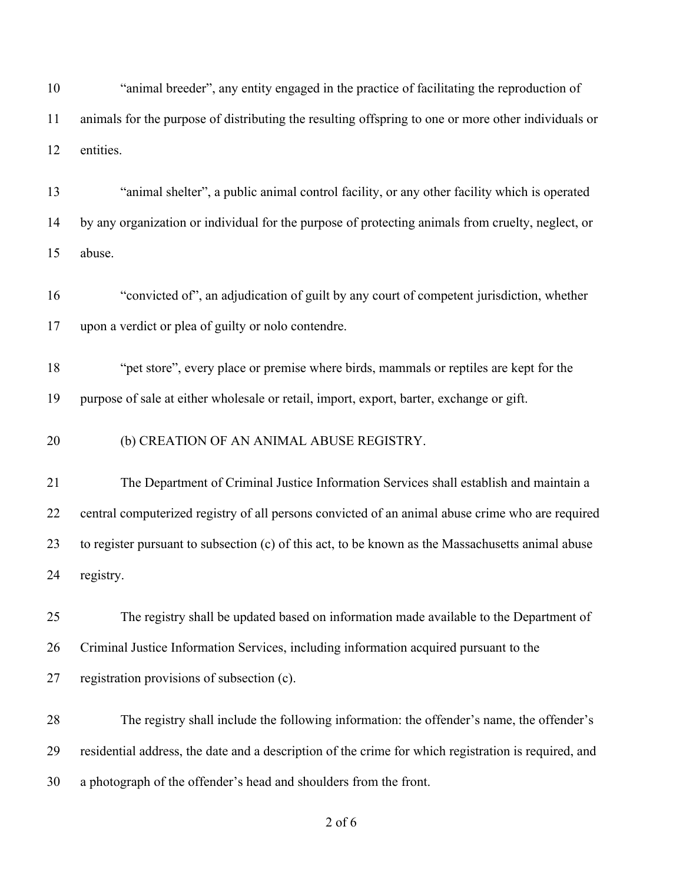"animal breeder", any entity engaged in the practice of facilitating the reproduction of animals for the purpose of distributing the resulting offspring to one or more other individuals or entities.

 "animal shelter", a public animal control facility, or any other facility which is operated by any organization or individual for the purpose of protecting animals from cruelty, neglect, or abuse.

 "convicted of", an adjudication of guilt by any court of competent jurisdiction, whether upon a verdict or plea of guilty or nolo contendre.

 "pet store", every place or premise where birds, mammals or reptiles are kept for the purpose of sale at either wholesale or retail, import, export, barter, exchange or gift.

(b) CREATION OF AN ANIMAL ABUSE REGISTRY.

 The Department of Criminal Justice Information Services shall establish and maintain a central computerized registry of all persons convicted of an animal abuse crime who are required to register pursuant to subsection (c) of this act, to be known as the Massachusetts animal abuse registry.

 The registry shall be updated based on information made available to the Department of Criminal Justice Information Services, including information acquired pursuant to the registration provisions of subsection (c).

 The registry shall include the following information: the offender's name, the offender's residential address, the date and a description of the crime for which registration is required, and a photograph of the offender's head and shoulders from the front.

of 6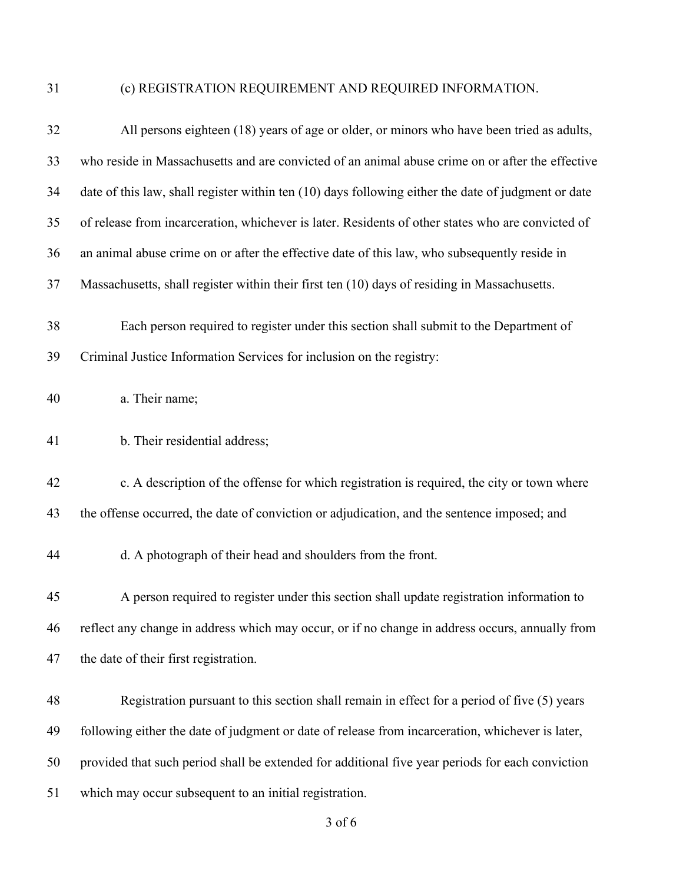# (c) REGISTRATION REQUIREMENT AND REQUIRED INFORMATION.

| 32 | All persons eighteen (18) years of age or older, or minors who have been tried as adults,           |
|----|-----------------------------------------------------------------------------------------------------|
| 33 | who reside in Massachusetts and are convicted of an animal abuse crime on or after the effective    |
| 34 | date of this law, shall register within ten (10) days following either the date of judgment or date |
| 35 | of release from incarceration, whichever is later. Residents of other states who are convicted of   |
| 36 | an animal abuse crime on or after the effective date of this law, who subsequently reside in        |
| 37 | Massachusetts, shall register within their first ten (10) days of residing in Massachusetts.        |
| 38 | Each person required to register under this section shall submit to the Department of               |
| 39 | Criminal Justice Information Services for inclusion on the registry:                                |
| 40 | a. Their name;                                                                                      |
| 41 | b. Their residential address;                                                                       |
| 42 | c. A description of the offense for which registration is required, the city or town where          |
| 43 | the offense occurred, the date of conviction or adjudication, and the sentence imposed; and         |
| 44 | d. A photograph of their head and shoulders from the front.                                         |
| 45 | A person required to register under this section shall update registration information to           |
| 46 | reflect any change in address which may occur, or if no change in address occurs, annually from     |
| 47 | the date of their first registration.                                                               |
| 48 | Registration pursuant to this section shall remain in effect for a period of five (5) years         |
| 49 | following either the date of judgment or date of release from incarceration, whichever is later,    |
| 50 | provided that such period shall be extended for additional five year periods for each conviction    |
| 51 | which may occur subsequent to an initial registration.                                              |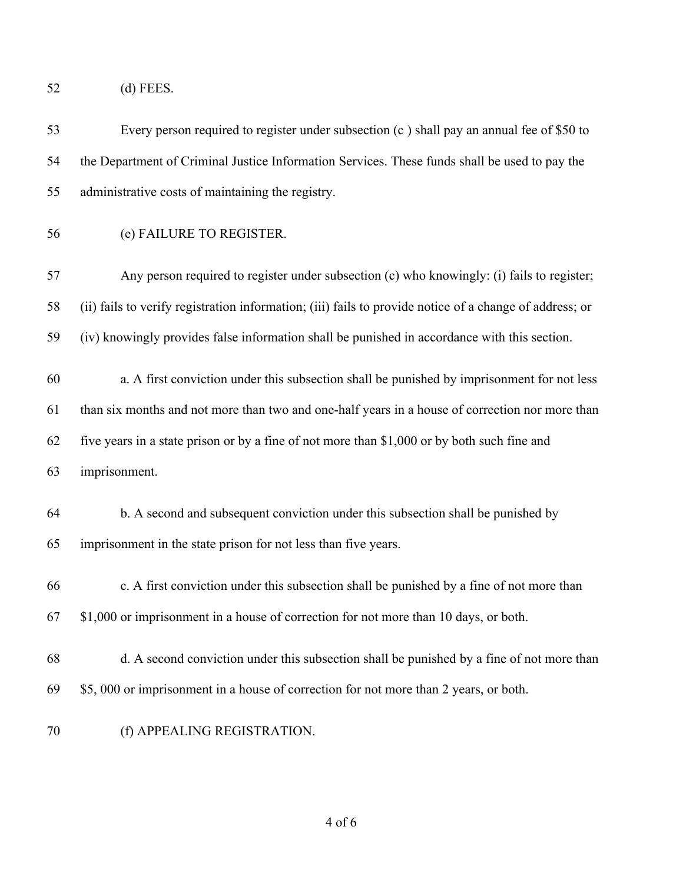- (d) FEES.
- Every person required to register under subsection (c ) shall pay an annual fee of \$50 to the Department of Criminal Justice Information Services. These funds shall be used to pay the administrative costs of maintaining the registry. (e) FAILURE TO REGISTER. Any person required to register under subsection (c) who knowingly: (i) fails to register; (ii) fails to verify registration information; (iii) fails to provide notice of a change of address; or (iv) knowingly provides false information shall be punished in accordance with this section. a. A first conviction under this subsection shall be punished by imprisonment for not less than six months and not more than two and one-half years in a house of correction nor more than five years in a state prison or by a fine of not more than \$1,000 or by both such fine and imprisonment. b. A second and subsequent conviction under this subsection shall be punished by imprisonment in the state prison for not less than five years. c. A first conviction under this subsection shall be punished by a fine of not more than \$1,000 or imprisonment in a house of correction for not more than 10 days, or both. d. A second conviction under this subsection shall be punished by a fine of not more than \$5, 000 or imprisonment in a house of correction for not more than 2 years, or both.
	- (f) APPEALING REGISTRATION.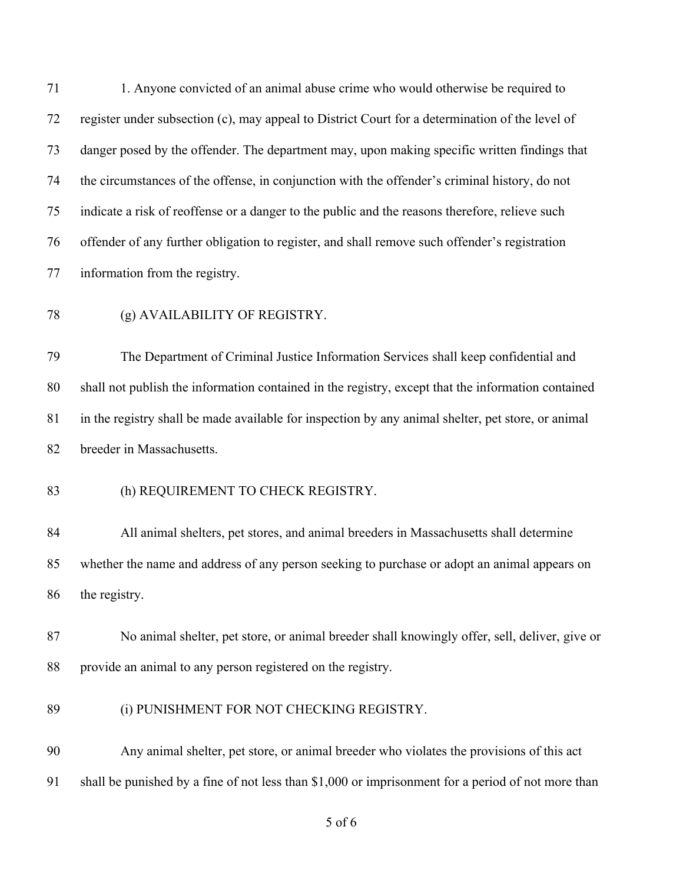1. Anyone convicted of an animal abuse crime who would otherwise be required to register under subsection (c), may appeal to District Court for a determination of the level of danger posed by the offender. The department may, upon making specific written findings that the circumstances of the offense, in conjunction with the offender's criminal history, do not indicate a risk of reoffense or a danger to the public and the reasons therefore, relieve such offender of any further obligation to register, and shall remove such offender's registration information from the registry. (g) AVAILABILITY OF REGISTRY. The Department of Criminal Justice Information Services shall keep confidential and shall not publish the information contained in the registry, except that the information contained in the registry shall be made available for inspection by any animal shelter, pet store, or animal breeder in Massachusetts. 83 (h) REQUIREMENT TO CHECK REGISTRY. All animal shelters, pet stores, and animal breeders in Massachusetts shall determine whether the name and address of any person seeking to purchase or adopt an animal appears on the registry. No animal shelter, pet store, or animal breeder shall knowingly offer, sell, deliver, give or provide an animal to any person registered on the registry. (i) PUNISHMENT FOR NOT CHECKING REGISTRY. Any animal shelter, pet store, or animal breeder who violates the provisions of this act shall be punished by a fine of not less than \$1,000 or imprisonment for a period of not more than

of 6